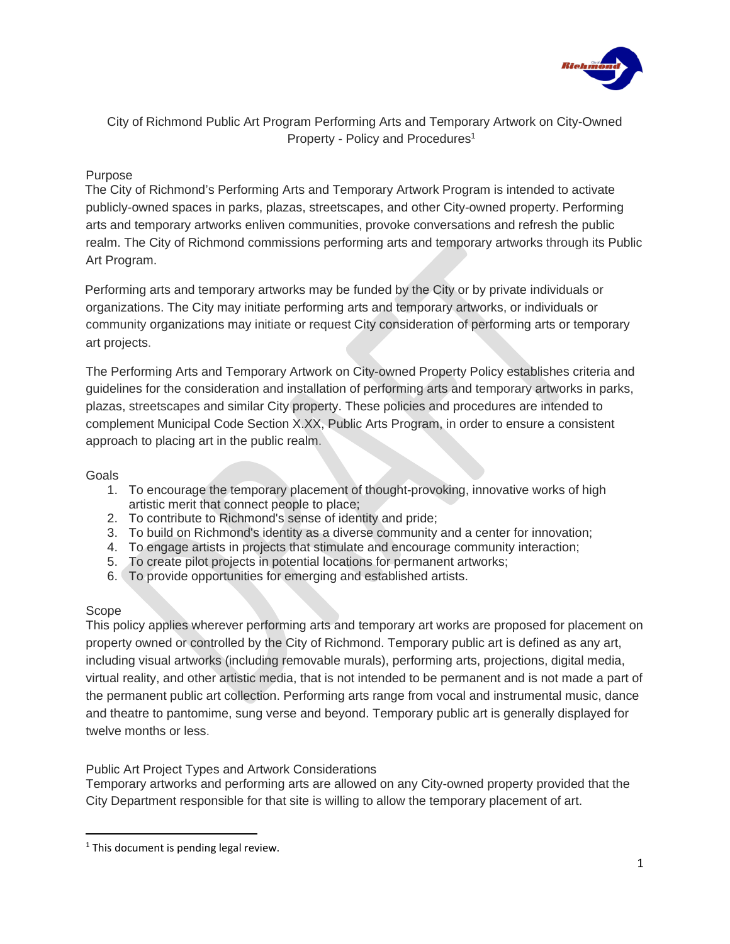

City of Richmond Public Art Program Performing Arts and Temporary Artwork on City-Owned Property - Policy and Procedures<sup>1</sup>

## Purpose

The City of Richmond's Performing Arts and Temporary Artwork Program is intended to activate publicly-owned spaces in parks, plazas, streetscapes, and other City-owned property. Performing arts and temporary artworks enliven communities, provoke conversations and refresh the public realm. The City of Richmond commissions performing arts and temporary artworks through its Public Art Program.

Performing arts and temporary artworks may be funded by the City or by private individuals or organizations. The City may initiate performing arts and temporary artworks, or individuals or community organizations may initiate or request City consideration of performing arts or temporary art projects.

The Performing Arts and Temporary Artwork on City-owned Property Policy establishes criteria and guidelines for the consideration and installation of performing arts and temporary artworks in parks, plazas, streetscapes and similar City property. These policies and procedures are intended to complement Municipal Code Section X.XX, Public Arts Program, in order to ensure a consistent approach to placing art in the public realm.

### Goals

- 1. To encourage the temporary placement of thought-provoking, innovative works of high artistic merit that connect people to place;
- 2. To contribute to Richmond's sense of identity and pride;
- 3. To build on Richmond's identity as a diverse community and a center for innovation;
- 4. To engage artists in projects that stimulate and encourage community interaction;
- 5. To create pilot projects in potential locations for permanent artworks;
- 6. To provide opportunities for emerging and established artists.

### Scope

This policy applies wherever performing arts and temporary art works are proposed for placement on property owned or controlled by the City of Richmond. Temporary public art is defined as any art, including visual artworks (including removable murals), performing arts, projections, digital media, virtual reality, and other artistic media, that is not intended to be permanent and is not made a part of the permanent public art collection. Performing arts range from vocal and instrumental music, dance and theatre to pantomime, sung verse and beyond. Temporary public art is generally displayed for twelve months or less.

# Public Art Project Types and Artwork Considerations

Temporary artworks and performing arts are allowed on any City-owned property provided that the City Department responsible for that site is willing to allow the temporary placement of art.

 $1$ <sup>1</sup> This document is pending legal review.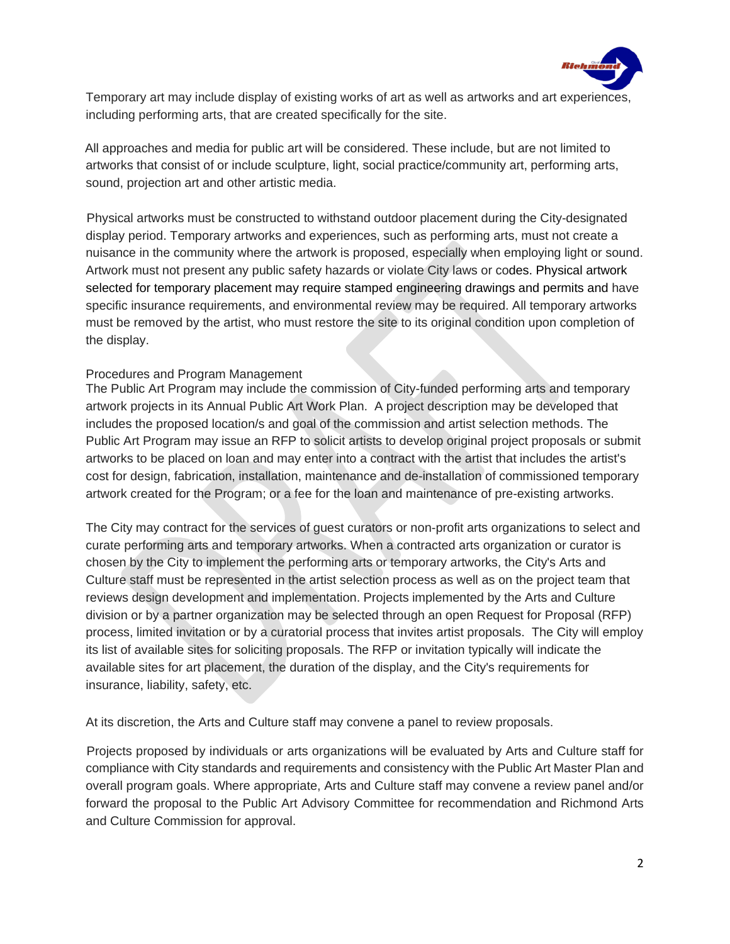

Temporary art may include display of existing works of art as well as artworks and art experiences, including performing arts, that are created specifically for the site.

All approaches and media for public art will be considered. These include, but are not limited to artworks that consist of or include sculpture, light, social practice/community art, performing arts, sound, projection art and other artistic media.

Physical artworks must be constructed to withstand outdoor placement during the City-designated display period. Temporary artworks and experiences, such as performing arts, must not create a nuisance in the community where the artwork is proposed, especially when employing light or sound. Artwork must not present any public safety hazards or violate City laws or codes. Physical artwork selected for temporary placement may require stamped engineering drawings and permits and have specific insurance requirements, and environmental review may be required. All temporary artworks must be removed by the artist, who must restore the site to its original condition upon completion of the display.

#### Procedures and Program Management

The Public Art Program may include the commission of City-funded performing arts and temporary artwork projects in its Annual Public Art Work Plan. A project description may be developed that includes the proposed location/s and goal of the commission and artist selection methods. The Public Art Program may issue an RFP to solicit artists to develop original project proposals or submit artworks to be placed on loan and may enter into a contract with the artist that includes the artist's cost for design, fabrication, installation, maintenance and de-installation of commissioned temporary artwork created for the Program; or a fee for the loan and maintenance of pre-existing artworks.

The City may contract for the services of guest curators or non-profit arts organizations to select and curate performing arts and temporary artworks. When a contracted arts organization or curator is chosen by the City to implement the performing arts or temporary artworks, the City's Arts and Culture staff must be represented in the artist selection process as well as on the project team that reviews design development and implementation. Projects implemented by the Arts and Culture division or by a partner organization may be selected through an open Request for Proposal (RFP) process, limited invitation or by a curatorial process that invites artist proposals. The City will employ its list of available sites for soliciting proposals. The RFP or invitation typically will indicate the available sites for art placement, the duration of the display, and the City's requirements for insurance, liability, safety, etc.

At its discretion, the Arts and Culture staff may convene a panel to review proposals.

Projects proposed by individuals or arts organizations will be evaluated by Arts and Culture staff for compliance with City standards and requirements and consistency with the Public Art Master Plan and overall program goals. Where appropriate, Arts and Culture staff may convene a review panel and/or forward the proposal to the Public Art Advisory Committee for recommendation and Richmond Arts and Culture Commission for approval.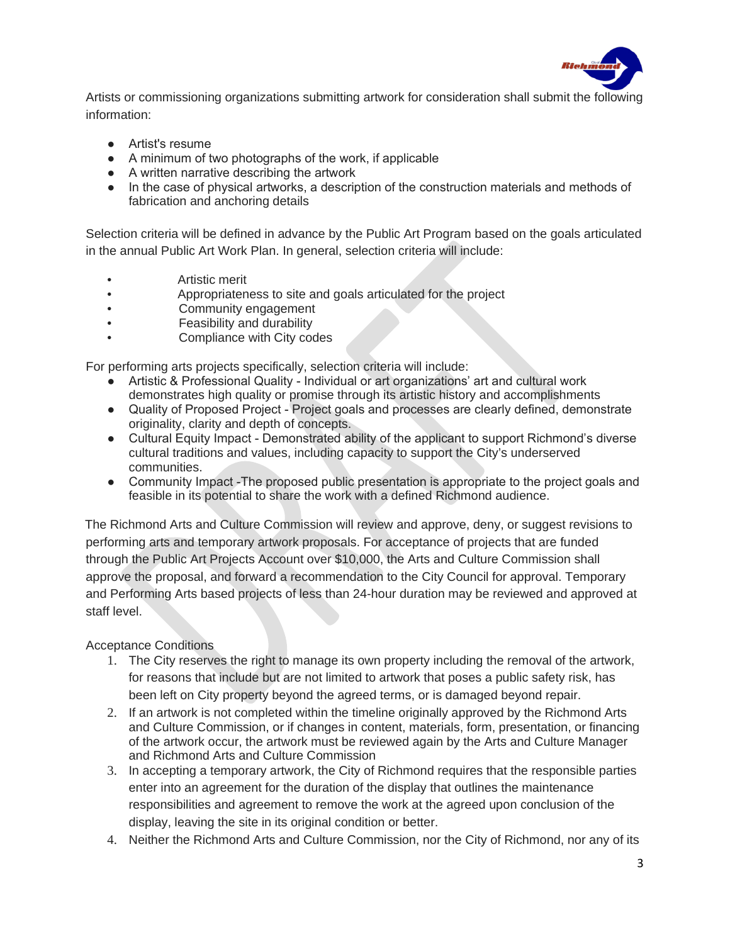

Artists or commissioning organizations submitting artwork for consideration shall submit the following information:

- Artist's resume
- A minimum of two photographs of the work, if applicable
- A written narrative describing the artwork
- In the case of physical artworks, a description of the construction materials and methods of fabrication and anchoring details

Selection criteria will be defined in advance by the Public Art Program based on the goals articulated in the annual Public Art Work Plan. In general, selection criteria will include:

- Artistic merit
- Appropriateness to site and goals articulated for the project
- Community engagement
- Feasibility and durability
- Compliance with City codes

For performing arts projects specifically, selection criteria will include:

- Artistic & Professional Quality Individual or art organizations' art and cultural work demonstrates high quality or promise through its artistic history and accomplishments
- Quality of Proposed Project Project goals and processes are clearly defined, demonstrate originality, clarity and depth of concepts.
- Cultural Equity Impact Demonstrated ability of the applicant to support Richmond's diverse cultural traditions and values, including capacity to support the City's underserved communities.
- Community Impact -The proposed public presentation is appropriate to the project goals and feasible in its potential to share the work with a defined Richmond audience.

The Richmond Arts and Culture Commission will review and approve, deny, or suggest revisions to performing arts and temporary artwork proposals. For acceptance of projects that are funded through the Public Art Projects Account over \$10,000, the Arts and Culture Commission shall approve the proposal, and forward a recommendation to the City Council for approval. Temporary and Performing Arts based projects of less than 24-hour duration may be reviewed and approved at staff level.

Acceptance Conditions

- 1. The City reserves the right to manage its own property including the removal of the artwork, for reasons that include but are not limited to artwork that poses a public safety risk, has been left on City property beyond the agreed terms, or is damaged beyond repair.
- 2. If an artwork is not completed within the timeline originally approved by the Richmond Arts and Culture Commission, or if changes in content, materials, form, presentation, or financing of the artwork occur, the artwork must be reviewed again by the Arts and Culture Manager and Richmond Arts and Culture Commission
- 3. In accepting a temporary artwork, the City of Richmond requires that the responsible parties enter into an agreement for the duration of the display that outlines the maintenance responsibilities and agreement to remove the work at the agreed upon conclusion of the display, leaving the site in its original condition or better.
- 4. Neither the Richmond Arts and Culture Commission, nor the City of Richmond, nor any of its